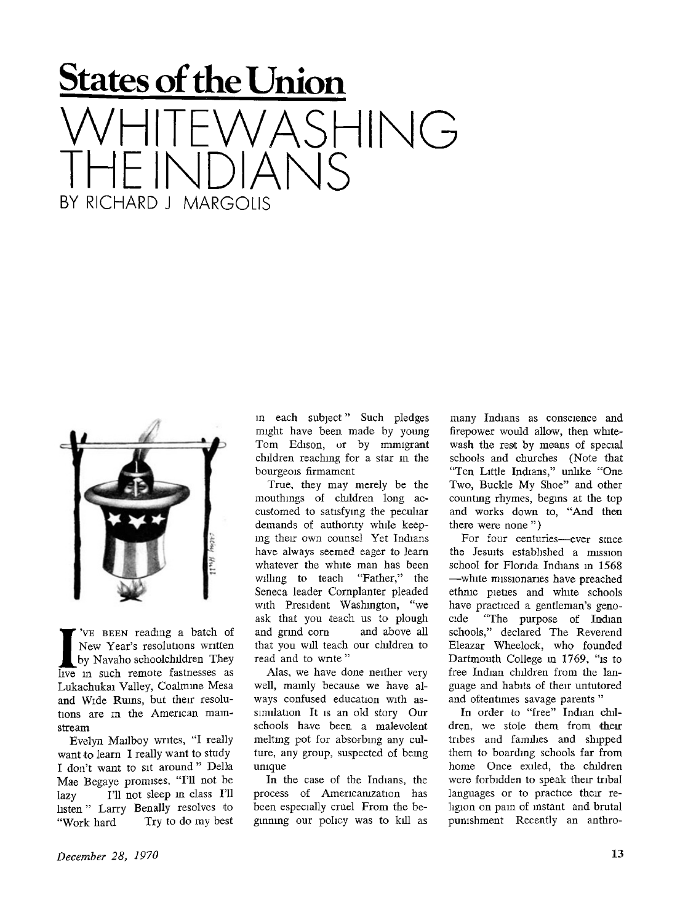## **States of the Union**  SHING THE INDIANS BY RICHARD J MARGOLIS



**I** 'VE BEEN reading a batch of New Year's resolutions written by Navaho schoolchildren They live in such remote fastnesses as 'VE BEEN reading a batch of New Year's resolutions written by Navaho schoolchildren They Lukachukai Valley, Coalmine Mesa and Wide Ruins, but their resolutions are in the American mainstream

Evelyn Mailboy writes, "I really want to learn I really want to study I don't want to sit around " Delia Mae Begaye promises, "I'll not be lazy I'll not sleep m class I'll listen " Larry Benally resolves to "Work hard Try to do my best in each subject" Such pledges might have been made by young Tom Edison, or by immigrant children reaching for a star in the bourgeois firmament

True, they may merely be the mouthmgs of children long accustomed to satisfying the peculiar demands of authority while keeping their own counsel Yet Indians have always seemed eager to learn whatever the white man has been willing to teach "Father," the Seneca leader Cornplanter pleaded with President Washington, "we ask that you teach us to plough and grmd corn and above all that you will teach our children to read and to write"

Alas, we have done neither very well, mainly because we have always confused education with assimilation It is an old story Our schools have been a malevolent meltmg pot for absorbmg any culture, any group, suspected of bemg unique

In the case of the Indians, the process of Americanization has been especially cruel From the beginning our policy was to kill as

many Indians as conscience and firepower would allow, then whitewash the rest by means of special schools and churches (Note that "Ten Little Indians," unlike "One Two, Buckle My Shoe" and other counting rhymes, begins at the top and works down to, "And then there were none " )

For four centuries—ever since the Jesuits established a mission school for Florida Indians in 1568 —white missionaries have preached ethnic pieties and white schools have practiced a gentleman's genocide "The purpose of Indian schools," declared The Reverend Eleazar Wheelock, who founded Dartmouth College in 1769, "is to free Indian children from the language and habits of their untutored and oftentimes savage parents "

In order to "free" Indian children, we stole them from their tribes and families and shipped them to boarding schools far from home Once exiled, the children were forbidden to speak their tribal languages or to practice their religion on pam of instant and brutal punishment Recently an anthro